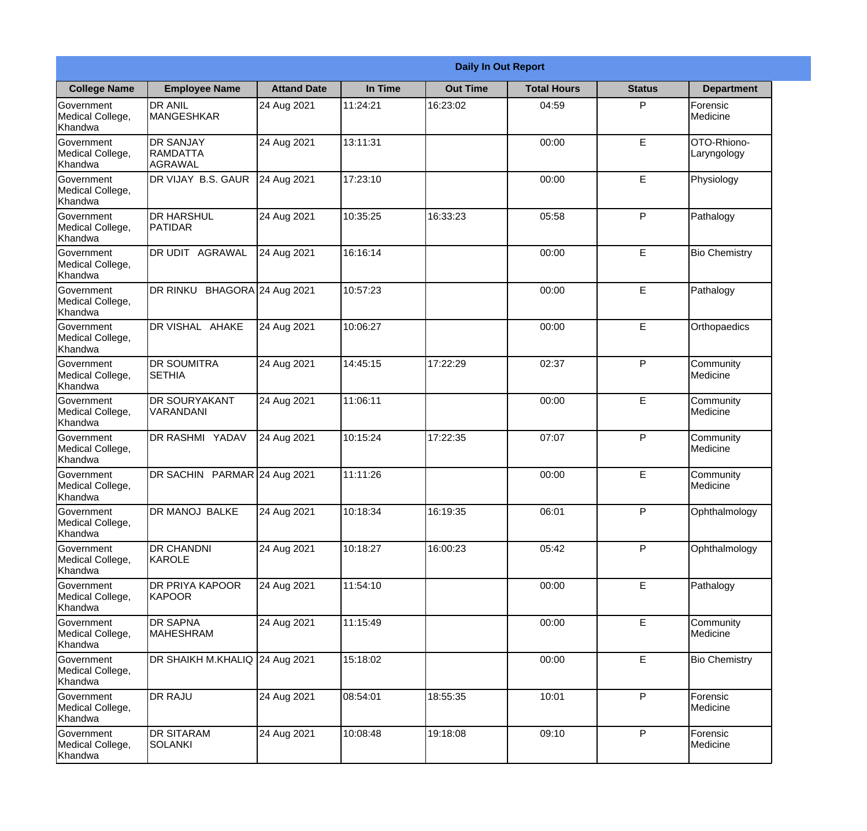|                                                  |                                         |                    | <b>Daily In Out Report</b> |                 |                    |               |                            |
|--------------------------------------------------|-----------------------------------------|--------------------|----------------------------|-----------------|--------------------|---------------|----------------------------|
| <b>College Name</b>                              | <b>Employee Name</b>                    | <b>Attand Date</b> | In Time                    | <b>Out Time</b> | <b>Total Hours</b> | <b>Status</b> | <b>Department</b>          |
| Government<br>Medical College,<br>Khandwa        | <b>DR ANIL</b><br><b>MANGESHKAR</b>     | 24 Aug 2021        | 11:24:21                   | 16:23:02        | 04:59              | P             | Forensic<br>Medicine       |
| Government<br>Medical College,<br>Khandwa        | <b>DR SANJAY</b><br>RAMDATTA<br>AGRAWAL | 24 Aug 2021        | 13:11:31                   |                 | 00:00              | E             | OTO-Rhiono-<br>Laryngology |
| <b>Government</b><br>Medical College,<br>Khandwa | DR VIJAY B.S. GAUR                      | 24 Aug 2021        | 17:23:10                   |                 | 00:00              | E             | Physiology                 |
| <b>Government</b><br>Medical College,<br>Khandwa | <b>DR HARSHUL</b><br>PATIDAR            | 24 Aug 2021        | 10:35:25                   | 16:33:23        | 05:58              | P             | Pathalogy                  |
| Government<br>Medical College,<br>Khandwa        | DR UDIT AGRAWAL                         | 24 Aug 2021        | 16:16:14                   |                 | 00:00              | E             | <b>Bio Chemistry</b>       |
| Government<br>Medical College,<br>Khandwa        | DR RINKU BHAGORA 24 Aug 2021            |                    | 10:57:23                   |                 | 00:00              | E             | Pathalogy                  |
| <b>Government</b><br>Medical College,<br>Khandwa | DR VISHAL AHAKE                         | 24 Aug 2021        | 10:06:27                   |                 | 00:00              | E             | Orthopaedics               |
| <b>Government</b><br>Medical College,<br>Khandwa | <b>DR SOUMITRA</b><br><b>SETHIA</b>     | 24 Aug 2021        | 14:45:15                   | 17:22:29        | 02:37              | P             | Community<br>Medicine      |
| Government<br>Medical College,<br>Khandwa        | <b>DR SOURYAKANT</b><br>VARANDANI       | 24 Aug 2021        | 11:06:11                   |                 | 00:00              | E             | Community<br>Medicine      |
| Government<br>Medical College,<br>Khandwa        | DR RASHMI YADAV                         | 24 Aug 2021        | 10:15:24                   | 17:22:35        | 07:07              | P             | Community<br>Medicine      |
| Government<br>Medical College,<br>Khandwa        | DR SACHIN PARMAR 24 Aug 2021            |                    | 11:11:26                   |                 | 00:00              | E             | Community<br>Medicine      |
| Government<br>Medical College,<br>Khandwa        | DR MANOJ BALKE                          | 24 Aug 2021        | 10:18:34                   | 16:19:35        | 06:01              | P             | Ophthalmology              |
| Government<br>Medical College,<br>Khandwa        | <b>DR CHANDNI</b><br>KAROLE             | 24 Aug 2021        | 10:18:27                   | 16:00:23        | 05:42              | P             | Ophthalmology              |
| Government<br>Medical College,<br>Khandwa        | DR PRIYA KAPOOR<br>KAPOOR               | 24 Aug 2021        | 11:54:10                   |                 | 00:00              | E             | Pathalogy                  |
| Government<br>Medical College,<br>Khandwa        | <b>DR SAPNA</b><br><b>MAHESHRAM</b>     | 24 Aug 2021        | 11:15:49                   |                 | 00:00              | E             | Community<br>Medicine      |
| Government<br>Medical College,<br>Khandwa        | DR SHAIKH M.KHALIQ 24 Aug 2021          |                    | 15:18:02                   |                 | 00:00              | E             | <b>Bio Chemistry</b>       |
| Government<br>Medical College,<br>Khandwa        | <b>DR RAJU</b>                          | 24 Aug 2021        | 08:54:01                   | 18:55:35        | 10:01              | P             | Forensic<br>Medicine       |
| Government<br>Medical College,<br>Khandwa        | <b>DR SITARAM</b><br><b>SOLANKI</b>     | 24 Aug 2021        | 10:08:48                   | 19:18:08        | 09:10              | $\mathsf{P}$  | Forensic<br>Medicine       |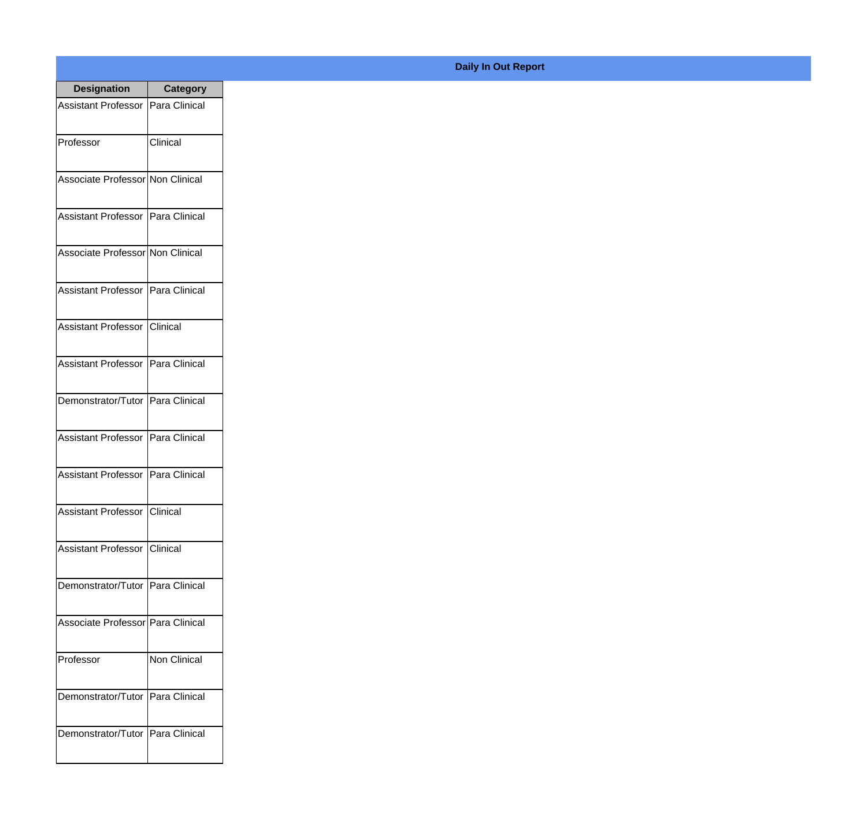| <b>Designation</b>                  | <b>Category</b> |
|-------------------------------------|-----------------|
| Assistant Professor   Para Clinical |                 |
| Professor                           | Clinical        |
| Associate Professor Non Clinical    |                 |
| Assistant Professor   Para Clinical |                 |
| Associate Professor Non Clinical    |                 |
| Assistant Professor   Para Clinical |                 |
| Assistant Professor   Clinical      |                 |
| Assistant Professor   Para Clinical |                 |
| Demonstrator/Tutor   Para Clinical  |                 |
| <b>Assistant Professor</b>          | Para Clinical   |
| <b>Assistant Professor</b>          | Para Clinical   |
| Assistant Professor Clinical        |                 |
| Assistant Professor   Clinical      |                 |
| Demonstrator/Tutor   Para Clinical  |                 |
| Associate Professor Para Clinical   |                 |
| Professor                           | Non Clinical    |
| Demonstrator/Tutor   Para Clinical  |                 |
| Demonstrator/Tutor   Para Clinical  |                 |

## **Daily In Out Report**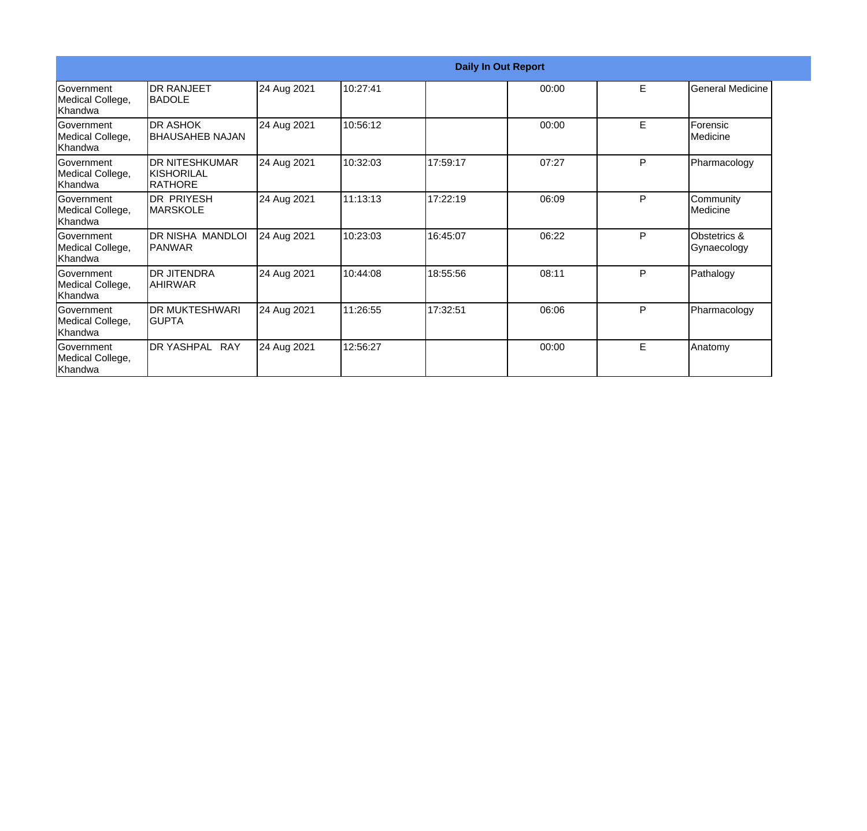|                                                   |                                                 |             |          |          | <b>Daily In Out Report</b> |   |                               |
|---------------------------------------------------|-------------------------------------------------|-------------|----------|----------|----------------------------|---|-------------------------------|
| <b>Government</b><br>Medical College,<br>lKhandwa | <b>DR RANJEET</b><br><b>BADOLE</b>              | 24 Aug 2021 | 10:27:41 |          | 00:00                      | E | General Medicine              |
| Government<br>Medical College,<br>Khandwa         | <b>DR ASHOK</b><br>BHAUSAHEB NAJAN              | 24 Aug 2021 | 10:56:12 |          | 00:00                      | E | Forensic<br><b>I</b> Medicine |
| Government<br>Medical College,<br>lKhandwa        | <b>DR NITESHKUMAR</b><br>IKISHORILAL<br>RATHORE | 24 Aug 2021 | 10:32:03 | 17:59:17 | 07:27                      | P | Pharmacology                  |
| <b>Government</b><br>Medical College,<br>lKhandwa | <b>DR PRIYESH</b><br><b>MARSKOLE</b>            | 24 Aug 2021 | 11:13:13 | 17:22:19 | 06:09                      | P | Community<br>Medicine         |
| Government<br>Medical College,<br>Khandwa         | DR NISHA MANDLOI<br> PANWAR                     | 24 Aug 2021 | 10:23:03 | 16:45:07 | 06:22                      | P | Obstetrics &<br>Gynaecology   |
| Government<br>Medical College,<br>Khandwa         | IDR JITENDRA<br><b>AHIRWAR</b>                  | 24 Aug 2021 | 10:44:08 | 18:55:56 | 08:11                      | P | Pathalogy                     |
| Government<br>Medical College,<br>Khandwa         | <b>DR MUKTESHWARI</b><br>IGUPTA                 | 24 Aug 2021 | 11:26:55 | 17:32:51 | 06:06                      | P | Pharmacology                  |
| Government<br>Medical College,<br>Khandwa         | DR YASHPAL RAY                                  | 24 Aug 2021 | 12:56:27 |          | 00:00                      | E | Anatomy                       |